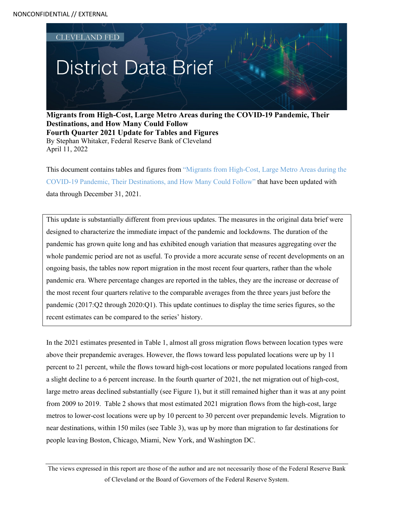

**Migrants from High-Cost, Large Metro Areas during the COVID-19 Pandemic, Their Destinations, and How Many Could Follow Fourth Quarter 2021 Update for Tables and Figures**  By Stephan Whitaker, Federal Reserve Bank of Cleveland April 11, 2022

This document contains tables and figures from ["Migrants from High-Cost, Large Metro Areas during the](https://www.clevelandfed.org/newsroom-and-events/publications/cfed-district-data-briefs/cfddb-20210325-migrants-from-high-cost-large-metro-areas-during-the-covid-19-pandemic.aspx)  [COVID-19 Pandemic, Their Destinations, and How Many Could Follow"](https://www.clevelandfed.org/newsroom-and-events/publications/cfed-district-data-briefs/cfddb-20210325-migrants-from-high-cost-large-metro-areas-during-the-covid-19-pandemic.aspx) that have been updated with data through December 31, 2021.

This update is substantially different from previous updates. The measures in the original data brief were designed to characterize the immediate impact of the pandemic and lockdowns. The duration of the pandemic has grown quite long and has exhibited enough variation that measures aggregating over the whole pandemic period are not as useful. To provide a more accurate sense of recent developments on an ongoing basis, the tables now report migration in the most recent four quarters, rather than the whole pandemic era. Where percentage changes are reported in the tables, they are the increase or decrease of the most recent four quarters relative to the comparable averages from the three years just before the pandemic (2017:Q2 through 2020:Q1). This update continues to display the time series figures, so the recent estimates can be compared to the series' history.

In the 2021 estimates presented in Table 1, almost all gross migration flows between location types were above their prepandemic averages. However, the flows toward less populated locations were up by 11 percent to 21 percent, while the flows toward high-cost locations or more populated locations ranged from a slight decline to a 6 percent increase. In the fourth quarter of 2021, the net migration out of high-cost, large metro areas declined substantially (see Figure 1), but it still remained higher than it was at any point from 2009 to 2019. Table 2 shows that most estimated 2021 migration flows from the high-cost, large metros to lower-cost locations were up by 10 percent to 30 percent over prepandemic levels. Migration to near destinations, within 150 miles (see Table 3), was up by more than migration to far destinations for people leaving Boston, Chicago, Miami, New York, and Washington DC.

The views expressed in this report are those of the author and are not necessarily those of the Federal Reserve Bank of Cleveland or the Board of Governors of the Federal Reserve System.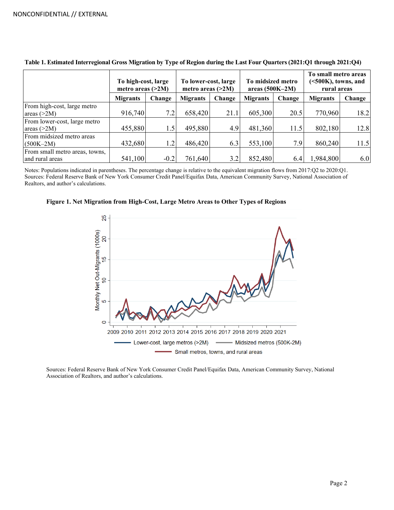|                                                   | To high-cost, large<br>metro areas $(>2M)$ |                  | To lower-cost, large<br>metro areas $(>2M)$ |        | To midsized metro<br>areas $(500K-2M)$ |        | To small metro areas<br>$\approx$ 500K), towns, and<br>rural areas |        |
|---------------------------------------------------|--------------------------------------------|------------------|---------------------------------------------|--------|----------------------------------------|--------|--------------------------------------------------------------------|--------|
|                                                   | <b>Migrants</b>                            | Change           | <b>Migrants</b>                             | Change | <b>Migrants</b>                        | Change | <b>Migrants</b>                                                    | Change |
| From high-cost, large metro<br>areas $(>2M)$      | 916,740                                    | 7.2 <sub>1</sub> | 658,420                                     | 21.1   | 605,300                                | 20.5   | 770,960                                                            | 18.2   |
| From lower-cost, large metro<br>areas $(>2M)$     | 455,880                                    | 1.5              | 495,880                                     | 4.9    | 481,360                                | 11.5   | 802,180                                                            | 12.8   |
| From midsized metro areas<br>$(500K-2M)$          | 432,680                                    | 1.2              | 486,420                                     | 6.3    | 553,100                                | 7.9    | 860,240                                                            | 11.5   |
| From small metro areas, towns,<br>and rural areas | 541,100                                    | $-0.2$           | 761,640                                     | 3.2    | 852,480                                | 6.4    | 1,984,800                                                          | 6.0    |

**Table 1. Estimated Interregional Gross Migration by Type of Region during the Last Four Quarters (2021:Q1 through 2021:Q4)**

Notes: Populations indicated in parentheses. The percentage change is relative to the equivalent migration flows from 2017:Q2 to 2020:Q1. Sources: Federal Reserve Bank of New York Consumer Credit Panel/Equifax Data, American Community Survey, National Association of Realtors, and author's calculations.



**Figure 1. Net Migration from High-Cost, Large Metro Areas to Other Types of Regions**

ó

Ю

 $\circ$ 

Sources: Federal Reserve Bank of New York Consumer Credit Panel/Equifax Data, American Community Survey, National Association of Realtors, and author's calculations.

Lower-cost, large metros (>2M)

2009 2010 2011 2012 2013 2014 2015 2016 2017 2018 2019 2020 2021

Small metros, towns, and rural areas

- Midsized metros (500K-2M)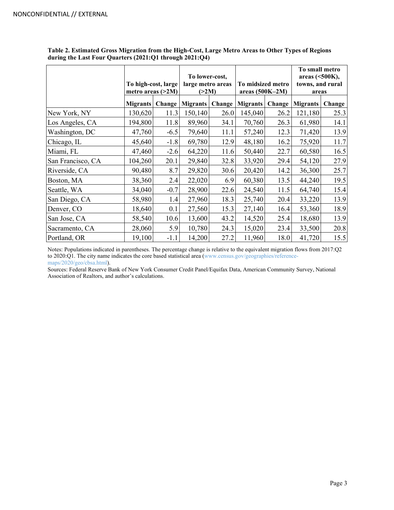|                   | To high-cost, large<br>metro areas $(>2M)$ |        | To lower-cost,<br>large metro areas<br>(>2M) |        | To midsized metro<br>areas (500K-2M) |        | To small metro<br>areas (<500K),<br>towns, and rural<br>areas |        |
|-------------------|--------------------------------------------|--------|----------------------------------------------|--------|--------------------------------------|--------|---------------------------------------------------------------|--------|
|                   | <b>Migrants</b>                            | Change | <b>Migrants</b>                              | Change | <b>Migrants</b>                      | Change | <b>Migrants</b>                                               | Change |
| New York, NY      | 130,620                                    | 11.3   | 150,140                                      | 26.0   | 145,040                              | 26.2   | 121,180                                                       | 25.3   |
| Los Angeles, CA   | 194,800                                    | 11.8   | 89,960                                       | 34.1   | 70,760                               | 26.3   | 61,980                                                        | 14.1   |
| Washington, DC    | 47,760                                     | $-6.5$ | 79,640                                       | 11.1   | 57,240                               | 12.3   | 71,420                                                        | 13.9   |
| Chicago, IL       | 45,640                                     | $-1.8$ | 69,780                                       | 12.9   | 48,180                               | 16.2   | 75,920                                                        | 11.7   |
| Miami, FL         | 47,460                                     | $-2.6$ | 64,220                                       | 11.6   | 50,440                               | 22.7   | 60,580                                                        | 16.5   |
| San Francisco, CA | 104,260                                    | 20.1   | 29,840                                       | 32.8   | 33,920                               | 29.4   | 54,120                                                        | 27.9   |
| Riverside, CA     | 90,480                                     | 8.7    | 29,820                                       | 30.6   | 20,420                               | 14.2   | 36,300                                                        | 25.7   |
| Boston, MA        | 38,360                                     | 2.4    | 22,020                                       | 6.9    | 60,380                               | 13.5   | 44,240                                                        | 19.5   |
| Seattle, WA       | 34,040                                     | $-0.7$ | 28,900                                       | 22.6   | 24,540                               | 11.5   | 64,740                                                        | 15.4   |
| San Diego, CA     | 58,980                                     | 1.4    | 27,960                                       | 18.3   | 25,740                               | 20.4   | 33,220                                                        | 13.9   |
| Denver, CO        | 18,640                                     | 0.1    | 27,560                                       | 15.3   | 27,140                               | 16.4   | 53,360                                                        | 18.9   |
| San Jose, CA      | 58,540                                     | 10.6   | 13,600                                       | 43.2   | 14,520                               | 25.4   | 18,680                                                        | 13.9   |
| Sacramento, CA    | 28,060                                     | 5.9    | 10,780                                       | 24.3   | 15,020                               | 23.4   | 33,500                                                        | 20.8   |
| Portland, OR      | 19,100                                     | $-1.1$ | 14,200                                       | 27.2   | 11,960                               | 18.0   | 41,720                                                        | 15.5   |

**Table 2. Estimated Gross Migration from the High-Cost, Large Metro Areas to Other Types of Regions during the Last Four Quarters (2021:Q1 through 2021:Q4)**

Notes: Populations indicated in parentheses. The percentage change is relative to the equivalent migration flows from 2017:Q2 to 2020:Q1. The city name indicates the core based statistical area [\(www.census.gov/geographies/reference](https://www.census.gov/geographies/reference-maps/2020/geo/cbsa.html)[maps/2020/geo/cbsa.html\)](https://www.census.gov/geographies/reference-maps/2020/geo/cbsa.html).

Sources: Federal Reserve Bank of New York Consumer Credit Panel/Equifax Data, American Community Survey, National Association of Realtors, and author's calculations.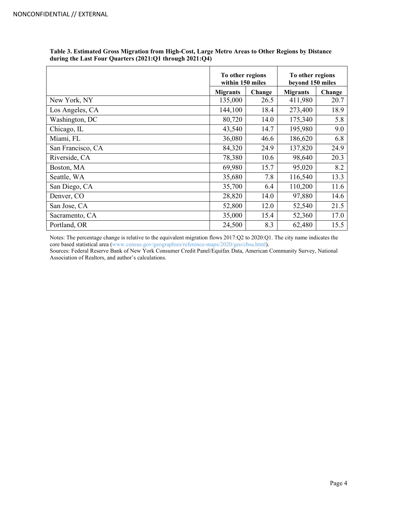|                   | To other regions<br>within 150 miles |      | To other regions<br>beyond 150 miles |        |  |
|-------------------|--------------------------------------|------|--------------------------------------|--------|--|
|                   | Change<br><b>Migrants</b>            |      | <b>Migrants</b>                      | Change |  |
| New York, NY      | 135,000                              | 26.5 | 411,980                              | 20.7   |  |
| Los Angeles, CA   | 144,100                              | 18.4 | 273,400                              | 18.9   |  |
| Washington, DC    | 80,720                               | 14.0 | 175,340                              | 5.8    |  |
| Chicago, IL       | 43,540                               | 14.7 | 195,980                              | 9.0    |  |
| Miami, FL         | 36,080                               | 46.6 | 186,620                              | 6.8    |  |
| San Francisco, CA | 84,320                               | 24.9 | 137,820                              | 24.9   |  |
| Riverside, CA     | 78,380                               | 10.6 | 98,640                               | 20.3   |  |
| Boston, MA        | 69,980                               | 15.7 | 95,020                               | 8.2    |  |
| Seattle, WA       | 35,680                               | 7.8  | 116,540                              | 13.3   |  |
| San Diego, CA     | 35,700                               | 6.4  | 110,200                              | 11.6   |  |
| Denver, CO        | 28,820                               | 14.0 | 97,880                               | 14.6   |  |
| San Jose, CA      | 52,800                               | 12.0 | 52,540                               | 21.5   |  |
| Sacramento, CA    | 35,000                               | 15.4 | 52,360                               | 17.0   |  |
| Portland, OR      | 24,500                               | 8.3  | 62,480                               | 15.5   |  |

**Table 3. Estimated Gross Migration from High-Cost, Large Metro Areas to Other Regions by Distance during the Last Four Quarters (2021:Q1 through 2021:Q4)**

Notes: The percentage change is relative to the equivalent migration flows 2017:Q2 to 2020:Q1. The city name indicates the core based statistical area [\(www.census.gov/geographies/reference-maps/2020/geo/cbsa.html\)](https://www.census.gov/geographies/reference-maps/2020/geo/cbsa.html).

Sources: Federal Reserve Bank of New York Consumer Credit Panel/Equifax Data, American Community Survey, National Association of Realtors, and author's calculations.